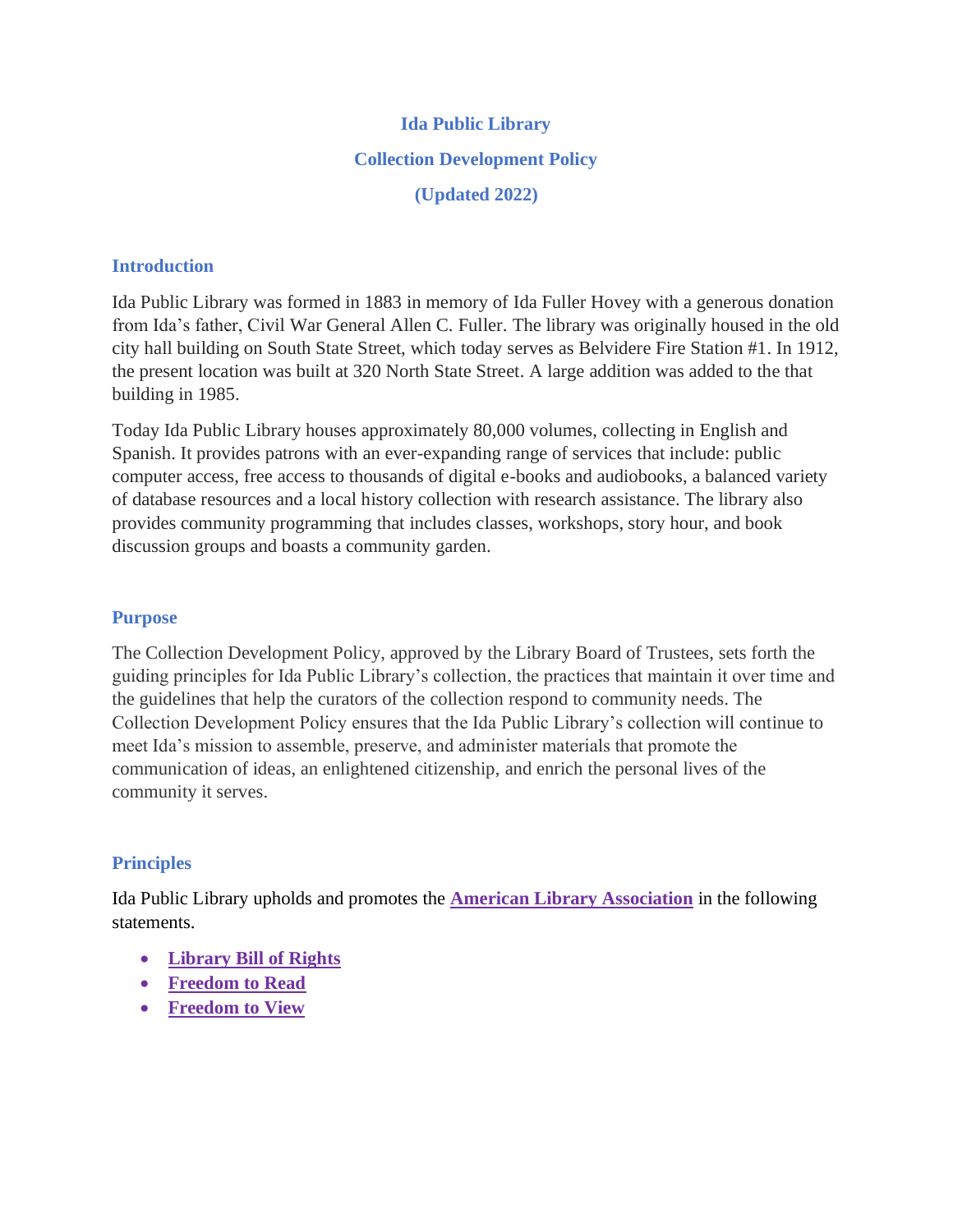# **Ida Public Library Collection Development Policy (Updated 2022)**

## **Introduction**

Ida Public Library was formed in 1883 in memory of Ida Fuller Hovey with a generous donation from Ida's father, Civil War General Allen C. Fuller. The library was originally housed in the old city hall building on South State Street, which today serves as Belvidere Fire Station #1. In 1912, the present location was built at 320 North State Street. A large addition was added to the that building in 1985.

Today Ida Public Library houses approximately 80,000 volumes, collecting in English and Spanish. It provides patrons with an ever-expanding range of services that include: public computer access, free access to thousands of digital e-books and audiobooks, a balanced variety of database resources and a local history collection with research assistance. The library also provides community programming that includes classes, workshops, story hour, and book discussion groups and boasts a community garden.

## **Purpose**

The Collection Development Policy, approved by the Library Board of Trustees, sets forth the guiding principles for Ida Public Library's collection, the practices that maintain it over time and the guidelines that help the curators of the collection respond to community needs. The Collection Development Policy ensures that the Ida Public Library's collection will continue to meet Ida's mission to assemble, preserve, and administer materials that promote the communication of ideas, an enlightened citizenship, and enrich the personal lives of the community it serves.

# **Principles**

Ida Public Library upholds and promotes the **[American Library Association](http://www.ala.org/)** in the following statements.

- **[Library Bill of Rights](http://www.ala.org/advocacy/intfreedom/librarybill)**
- **[Freedom to Read](http://www.ala.org/advocacy/intfreedom/freedomreadstatement)**
- **[Freedom to View](http://www.ala.org/advocacy/intfreedom/freedomviewstatement)**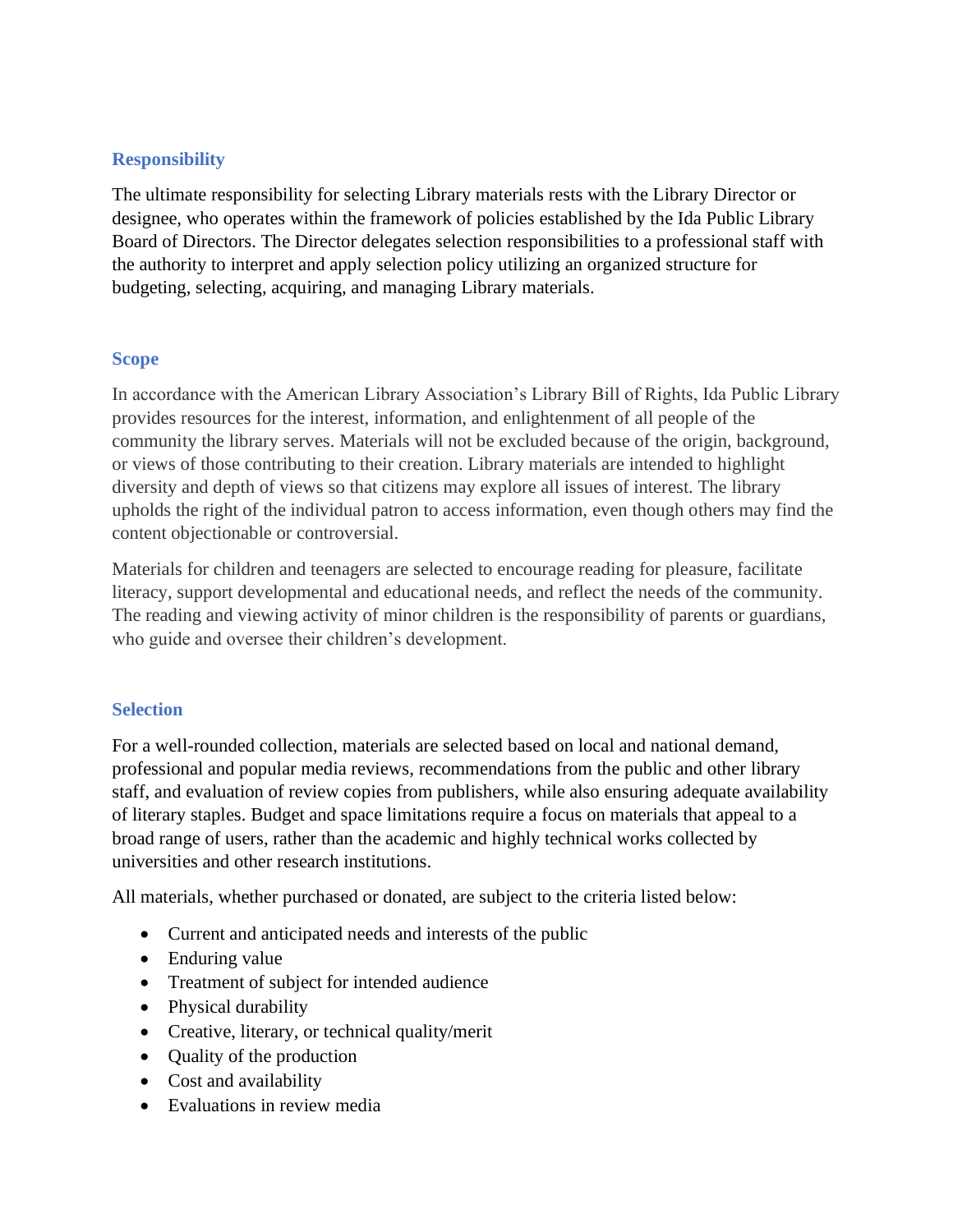# **Responsibility**

The ultimate responsibility for selecting Library materials rests with the Library Director or designee, who operates within the framework of policies established by the Ida Public Library Board of Directors. The Director delegates selection responsibilities to a professional staff with the authority to interpret and apply selection policy utilizing an organized structure for budgeting, selecting, acquiring, and managing Library materials.

# **Scope**

In accordance with the American Library Association's Library Bill of Rights, Ida Public Library provides resources for the interest, information, and enlightenment of all people of the community the library serves. Materials will not be excluded because of the origin, background, or views of those contributing to their creation. Library materials are intended to highlight diversity and depth of views so that citizens may explore all issues of interest. The library upholds the right of the individual patron to access information, even though others may find the content objectionable or controversial.

Materials for children and teenagers are selected to encourage reading for pleasure, facilitate literacy, support developmental and educational needs, and reflect the needs of the community. The reading and viewing activity of minor children is the responsibility of parents or guardians, who guide and oversee their children's development.

# **Selection**

For a well-rounded collection, materials are selected based on local and national demand, professional and popular media reviews, recommendations from the public and other library staff, and evaluation of review copies from publishers, while also ensuring adequate availability of literary staples. Budget and space limitations require a focus on materials that appeal to a broad range of users, rather than the academic and highly technical works collected by universities and other research institutions.

All materials, whether purchased or donated, are subject to the criteria listed below:

- Current and anticipated needs and interests of the public
- Enduring value
- Treatment of subject for intended audience
- Physical durability
- Creative, literary, or technical quality/merit
- Quality of the production
- Cost and availability
- Evaluations in review media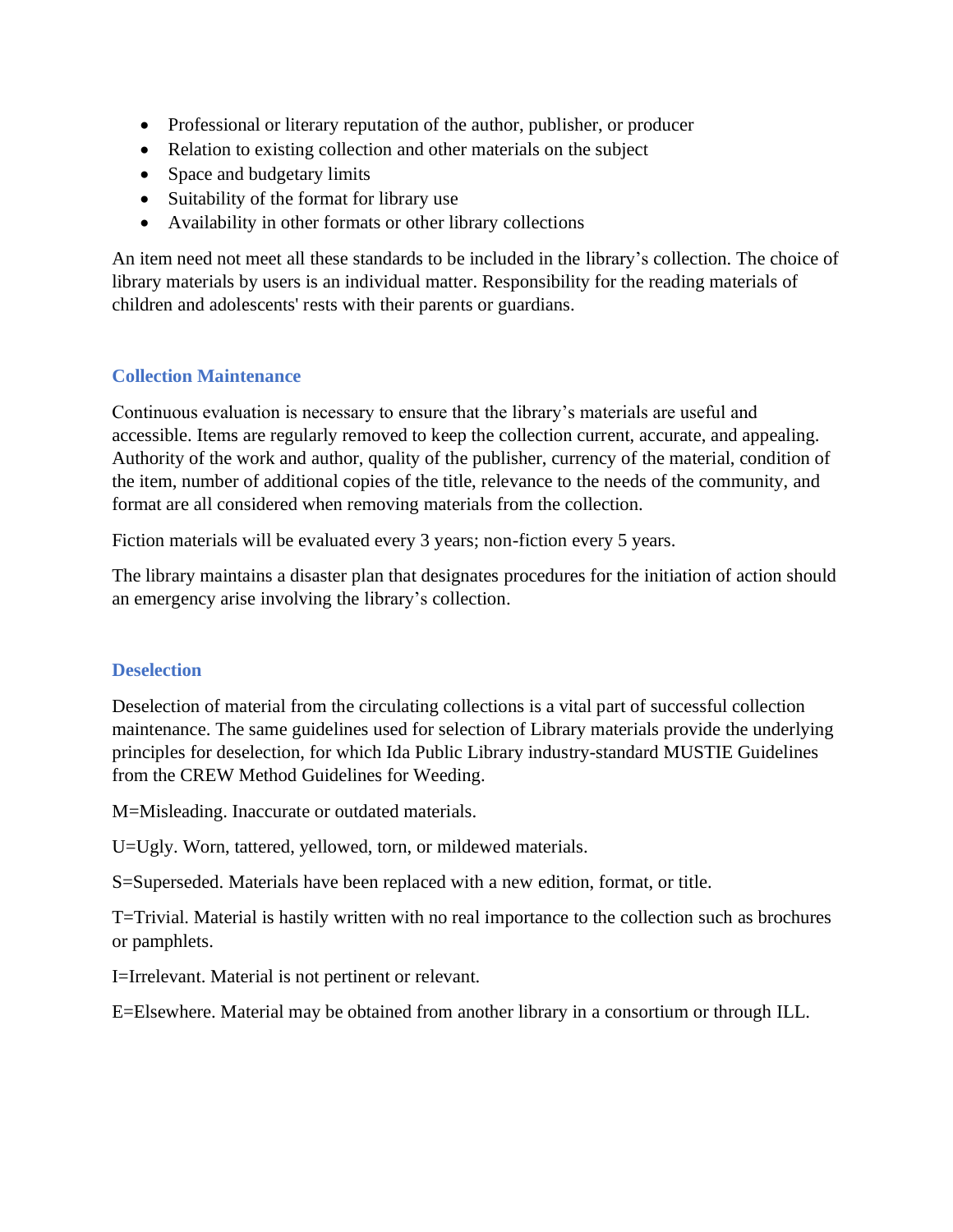- Professional or literary reputation of the author, publisher, or producer
- Relation to existing collection and other materials on the subject
- Space and budgetary limits
- Suitability of the format for library use
- Availability in other formats or other library collections

An item need not meet all these standards to be included in the library's collection. The choice of library materials by users is an individual matter. Responsibility for the reading materials of children and adolescents' rests with their parents or guardians.

# **Collection Maintenance**

Continuous evaluation is necessary to ensure that the library's materials are useful and accessible. Items are regularly removed to keep the collection current, accurate, and appealing. Authority of the work and author, quality of the publisher, currency of the material, condition of the item, number of additional copies of the title, relevance to the needs of the community, and format are all considered when removing materials from the collection.

Fiction materials will be evaluated every 3 years; non-fiction every 5 years.

The library maintains a disaster plan that designates procedures for the initiation of action should an emergency arise involving the library's collection.

# **Deselection**

Deselection of material from the circulating collections is a vital part of successful collection maintenance. The same guidelines used for selection of Library materials provide the underlying principles for deselection, for which Ida Public Library industry-standard MUSTIE Guidelines from the CREW Method Guidelines for Weeding.

M=Misleading. Inaccurate or outdated materials.

U=Ugly. Worn, tattered, yellowed, torn, or mildewed materials.

S=Superseded. Materials have been replaced with a new edition, format, or title.

T=Trivial. Material is hastily written with no real importance to the collection such as brochures or pamphlets.

I=Irrelevant. Material is not pertinent or relevant.

E=Elsewhere. Material may be obtained from another library in a consortium or through ILL.